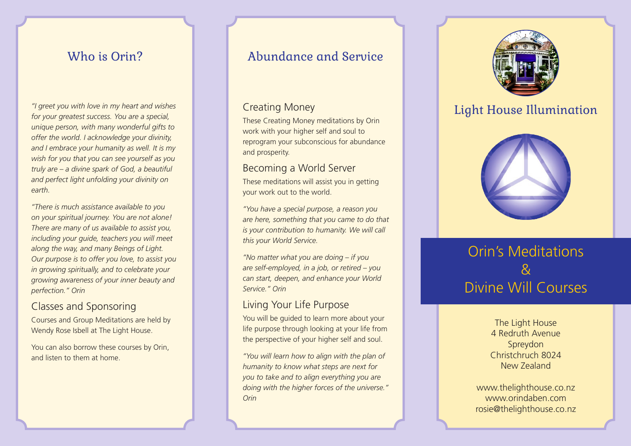*"I greet you with love in my heart and wishes for your greatest success. You are a special, unique person, with many wonderful gifts to offer the world. I acknowledge your divinity, and I embrace your humanity as well. It is my wish for you that you can see yourself as you truly are – a divine spark of God, a beautiful and perfect light unfolding your divinity on earth.*

*"There is much assistance available to you on your spiritual journey. You are not alone! There are many of us available to assist you, including your guide, teachers you will meet along the way, and many Beings of Light. Our purpose is to offer you love, to assist you in growing spiritually, and to celebrate your growing awareness of your inner beauty and perfection." Orin*

## Classes and Sponsoring

Courses and Group Meditations are held by Wendy Rose Isbell at The Light House.

You can also borrow these courses by Orin, and listen to them at home.

# Who is Orin? **Abundance and Service**

### Creating Money

These Creating Money meditations by Orin work with your higher self and soul to reprogram your subconscious for abundance and prosperity.

### Becoming a World Server

These meditations will assist you in getting your work out to the world.

*"You have a special purpose, a reason you are here, something that you came to do that is your contribution to humanity. We will call this your World Service.*

*"No matter what you are doing – if you are self-employed, in a job, or retired – you can start, deepen, and enhance your World Service." Orin*

## Living Your Life Purpose

You will be guided to learn more about your life purpose through looking at your life from the perspective of your higher self and soul.

*"You will learn how to align with the plan of humanity to know what steps are next for you to take and to align everything you are doing with the higher forces of the universe." Orin*



# Light House Illumination



# Orin's Meditations  $\mathcal{R}_{\mathcal{C}}$ Divine Will Courses

The Light House 4 Redruth Avenue Spreydon Christchruch 8024 New Zealand

www.thelighthouse.co.nz www.orindaben.com rosie@thelighthouse.co.nz